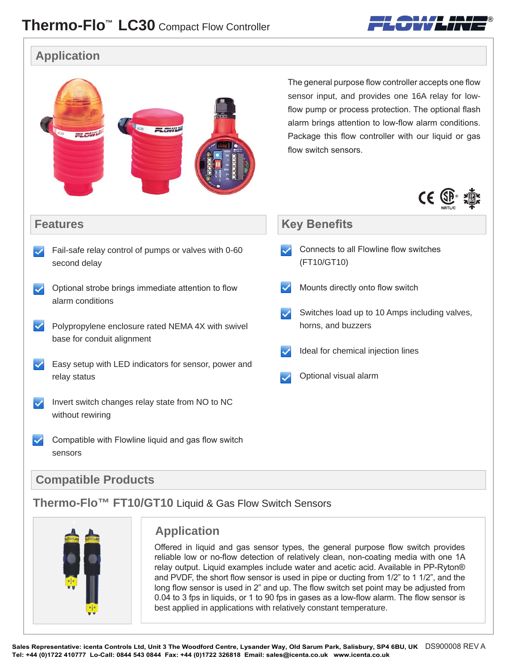

#### **Application**

|                                                                                 | The general purpose flow controller accepts one flow<br>sensor input, and provides one 16A relay for low-<br>flow pump or process protection. The optional flash<br>alarm brings attention to low-flow alarm conditions.<br>Package this flow controller with our liquid or gas<br>flow switch sensors.<br>$\epsilon$ |
|---------------------------------------------------------------------------------|-----------------------------------------------------------------------------------------------------------------------------------------------------------------------------------------------------------------------------------------------------------------------------------------------------------------------|
| <b>Features</b>                                                                 | <b>Key Benefits</b>                                                                                                                                                                                                                                                                                                   |
| Fail-safe relay control of pumps or valves with 0-60<br>second delay            | Connects to all Flowline flow switches<br>(FT10/GT10)                                                                                                                                                                                                                                                                 |
| Optional strobe brings immediate attention to flow<br>alarm conditions          | Mounts directly onto flow switch                                                                                                                                                                                                                                                                                      |
| Polypropylene enclosure rated NEMA 4X with swivel<br>base for conduit alignment | Switches load up to 10 Amps including valves,<br>horns, and buzzers                                                                                                                                                                                                                                                   |
|                                                                                 | Ideal for chemical injection lines                                                                                                                                                                                                                                                                                    |
| Easy setup with LED indicators for sensor, power and<br>relay status            | Optional visual alarm                                                                                                                                                                                                                                                                                                 |
| Invert switch changes relay state from NO to NC<br>without rewiring             |                                                                                                                                                                                                                                                                                                                       |
| Compatible with Flowline liquid and gas flow switch<br>sensors                  |                                                                                                                                                                                                                                                                                                                       |

#### **Compatible Products**

## **Thermo-Flo™ FT10/GT10** Liquid & Gas Flow Switch Sensors



#### **Application**

Offered in liquid and gas sensor types, the general purpose flow switch provides reliable low or no-flow detection of relatively clean, non-coating media with one 1A relay output. Liquid examples include water and acetic acid. Available in PP-Ryton® and PVDF, the short flow sensor is used in pipe or ducting from 1/2" to 1 1/2", and the long flow sensor is used in 2" and up. The flow switch set point may be adjusted from 0.04 to 3 fps in liquids, or 1 to 90 fps in gases as a low-flow alarm. The flow sensor is best applied in applications with relatively constant temperature.